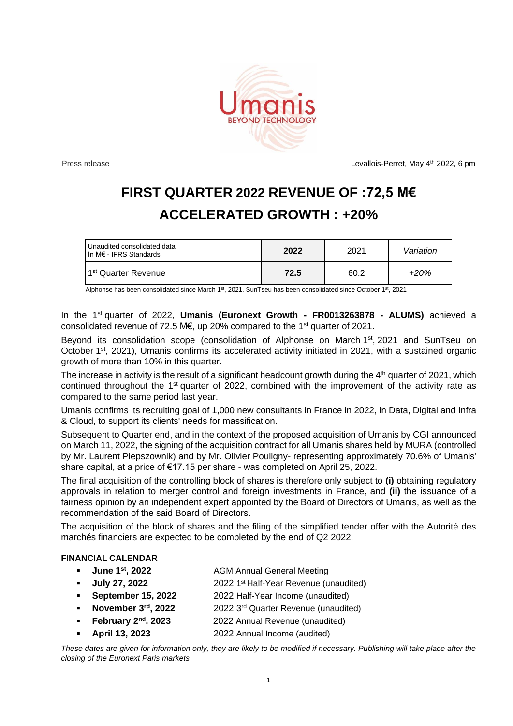

Press release and the control of the control of the Levallois-Perret, May 4<sup>th</sup> 2022, 6 pm

## **FIRST QUARTER 2022 REVENUE OF :72,5 M€ ACCELERATED GROWTH : +20%**

| Unaudited consolidated data<br>$\mathsf{In}\ \mathsf{M}\ \epsilon$ - IFRS Standards | 2022 | 2021 | Variation |
|-------------------------------------------------------------------------------------|------|------|-----------|
| 1 <sup>st</sup> Quarter Revenue                                                     | 72.5 | 60.2 | +20%      |

Alphonse has been consolidated since March 1st, 2021. SunTseu has been consolidated since October 1st, 2021

In the 1st quarter of 2022, **Umanis (Euronext Growth - FR0013263878 - ALUMS)** achieved a consolidated revenue of 72.5 M€, up 20% compared to the 1st quarter of 2021.

Beyond its consolidation scope (consolidation of Alphonse on March 1<sup>st</sup>, 2021 and SunTseu on October 1<sup>st</sup>, 2021), Umanis confirms its accelerated activity initiated in 2021, with a sustained organic growth of more than 10% in this quarter.

The increase in activity is the result of a significant headcount growth during the  $4<sup>th</sup>$  quarter of 2021, which continued throughout the 1<sup>st</sup> quarter of 2022, combined with the improvement of the activity rate as compared to the same period last year.

Umanis confirms its recruiting goal of 1,000 new consultants in France in 2022, in Data, Digital and Infra & Cloud, to support its clients' needs for massification.

Subsequent to Quarter end, and in the context of the proposed acquisition of Umanis by CGI announced on March 11, 2022, the signing of the acquisition contract for all Umanis shares held by MURA (controlled by Mr. Laurent Piepszownik) and by Mr. Olivier Pouligny- representing approximately 70.6% of Umanis' share capital, at a price of €17.15 per share - was completed on April 25, 2022.

The final acquisition of the controlling block of shares is therefore only subject to **(i)** obtaining regulatory approvals in relation to merger control and foreign investments in France, and **(ii)** the issuance of a fairness opinion by an independent expert appointed by the Board of Directors of Umanis, as well as the recommendation of the said Board of Directors.

The acquisition of the block of shares and the filing of the simplified tender offer with the Autorité des marchés financiers are expected to be completed by the end of Q2 2022.

## **FINANCIAL CALENDAR**

- **June 1 st , 2022** AGM Annual General Meeting
- **July 27, 2022** 2022 1 2022 1<sup>st</sup> Half-Year Revenue (unaudited)
- **September 15, 2022** 2022 Half-Year Income (unaudited)
- **November 3 rd , 2022** 2022 3 rd Quarter Revenue (unaudited)
- **•** February 2<sup>nd</sup> **, 2023** 2022 Annual Revenue (unaudited)
- **April 13, 2023** 2022 Annual Income (audited)

*These dates are given for information only, they are likely to be modified if necessary. Publishing will take place after the closing of the Euronext Paris markets*